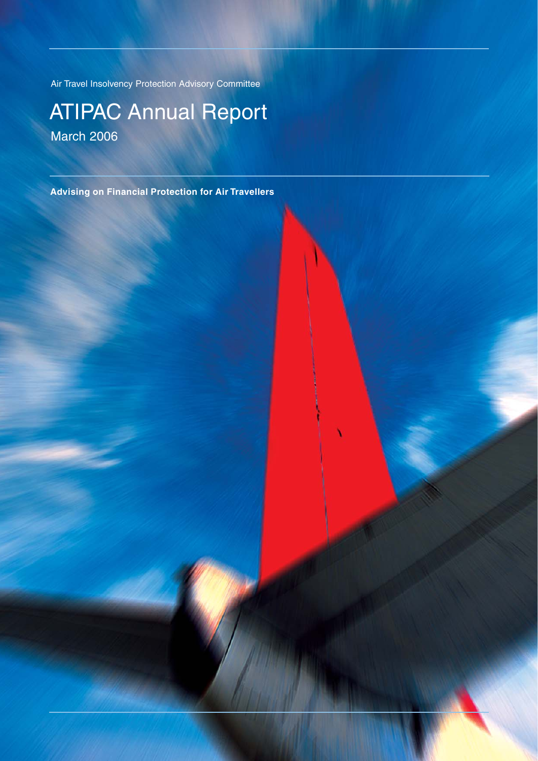Air Travel Insolvency Protection Advisory Committee

### ATIPAC Annual Report March 2006

**Advising on Financial Protection for Air Travellers**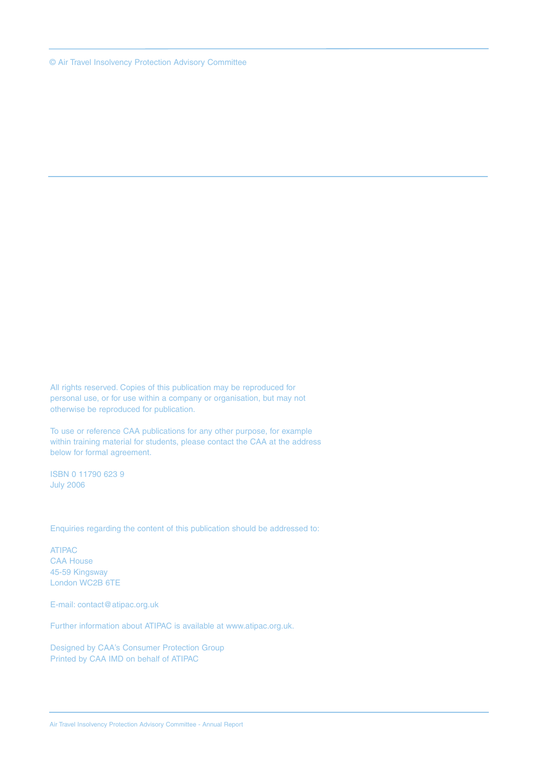© Air Travel Insolvency Protection Advisory Committee

All rights reserved. Copies of this publication may be reproduced for personal use, or for use within a company or organisation, but may not otherwise be reproduced for publication.

To use or reference CAA publications for any other purpose, for example within training material for students, please contact the CAA at the address below for formal agreement.

ISBN 0 11790 623 9 July 2006

Enquiries regarding the content of this publication should be addressed to:

ATIPAC CAA House 45-59 Kingsway London WC2B 6TE

E-mail: contact@atipac.org.uk

Further information about ATIPAC is available at www.atipac.org.uk.

Designed by CAA's Consumer Protection Group Printed by CAA IMD on behalf of ATIPAC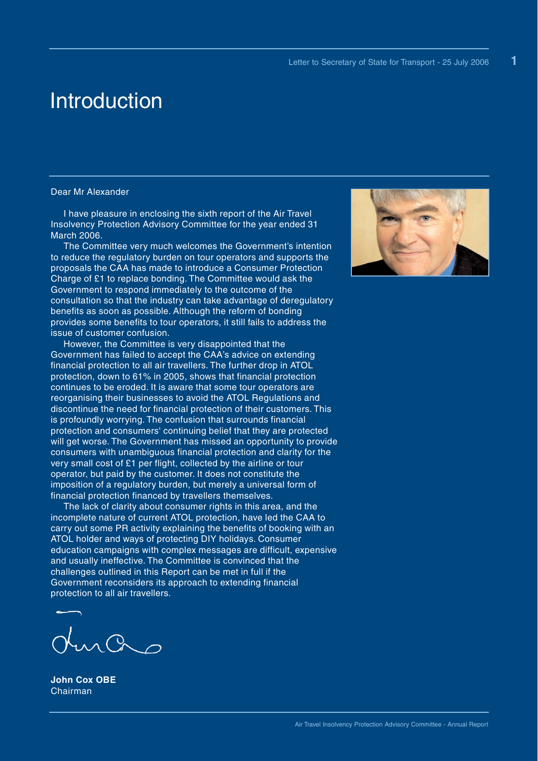**1**

### Introduction

#### Dear Mr Alexander

I have pleasure in enclosing the sixth report of the Air Travel Insolvency Protection Advisory Committee for the year ended 31 March 2006.

The Committee very much welcomes the Government's intention to reduce the regulatory burden on tour operators and supports the proposals the CAA has made to introduce a Consumer Protection Charge of £1 to replace bonding. The Committee would ask the Government to respond immediately to the outcome of the consultation so that the industry can take advantage of deregulatory benefits as soon as possible. Although the reform of bonding provides some benefits to tour operators, it still fails to address the issue of customer confusion.

However, the Committee is very disappointed that the Government has failed to accept the CAA's advice on extending financial protection to all air travellers. The further drop in ATOL protection, down to 61% in 2005, shows that financial protection continues to be eroded. It is aware that some tour operators are reorganising their businesses to avoid the ATOL Regulations and discontinue the need for financial protection of their customers. This is profoundly worrying. The confusion that surrounds financial protection and consumers' continuing belief that they are protected will get worse. The Government has missed an opportunity to provide consumers with unambiguous financial protection and clarity for the very small cost of £1 per flight, collected by the airline or tour operator, but paid by the customer. It does not constitute the imposition of a regulatory burden, but merely a universal form of financial protection financed by travellers themselves.

The lack of clarity about consumer rights in this area, and the incomplete nature of current ATOL protection, have led the CAA to carry out some PR activity explaining the benefits of booking with an ATOL holder and ways of protecting DIY holidays. Consumer education campaigns with complex messages are difficult, expensive and usually ineffective. The Committee is convinced that the challenges outlined in this Report can be met in full if the Government reconsiders its approach to extending financial protection to all air travellers.

 $nQ_0$ 

**John Cox OBE** Chairman

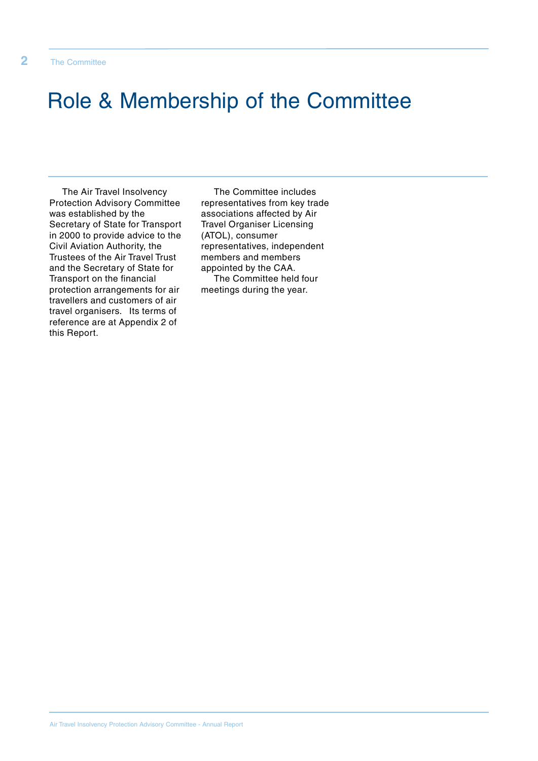## Role & Membership of the Committee

The Air Travel Insolvency Protection Advisory Committee was established by the Secretary of State for Transport in 2000 to provide advice to the Civil Aviation Authority, the Trustees of the Air Travel Trust and the Secretary of State for Transport on the financial protection arrangements for air travellers and customers of air travel organisers. Its terms of reference are at Appendix 2 of this Report.

The Committee includes representatives from key trade associations affected by Air Travel Organiser Licensing (ATOL), consumer representatives, independent members and members appointed by the CAA. The Committee held four meetings during the year.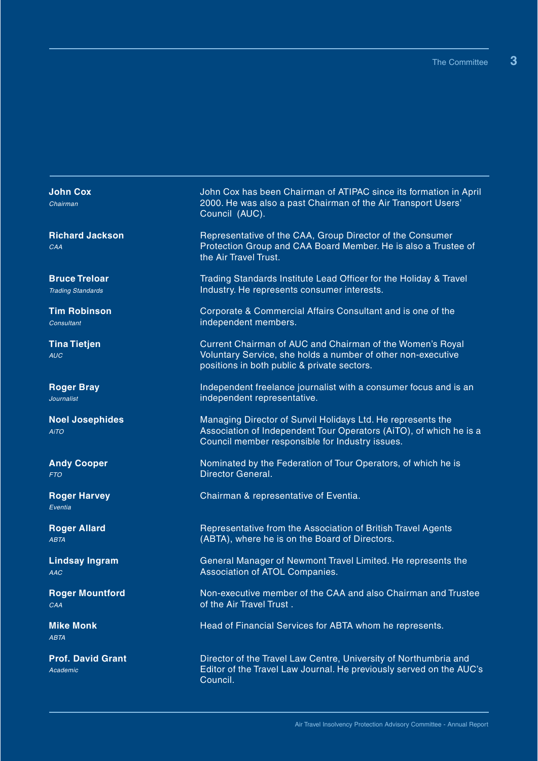**John Cox** Chairman

**Richard Jackson** CAA

**Bruce Treloar** Trading Standards

**Tim Robinson** Consultant

**Tina Tietjen** AUC

**Roger Bray** Journalist

**Noel Josephides** AiTO

**Andy Cooper** FTO

**Roger Harvey** Eventia

**Roger Allard** ABTA

**Lindsay Ingram** AAC

**Roger Mountford** CAA

**Mike Monk ARTA** 

**Prof. David Grant** Academic

John Cox has been Chairman of ATIPAC since its formation in April 2000. He was also a past Chairman of the Air Transport Users' Council (AUC).

Representative of the CAA, Group Director of the Consumer Protection Group and CAA Board Member. He is also a Trustee of the Air Travel Trust.

Trading Standards Institute Lead Officer for the Holiday & Travel Industry. He represents consumer interests.

Corporate & Commercial Affairs Consultant and is one of the independent members.

Current Chairman of AUC and Chairman of the Women's Royal Voluntary Service, she holds a number of other non-executive positions in both public & private sectors.

Independent freelance journalist with a consumer focus and is an independent representative.

Managing Director of Sunvil Holidays Ltd. He represents the Association of Independent Tour Operators (AiTO), of which he is a Council member responsible for Industry issues.

Nominated by the Federation of Tour Operators, of which he is Director General.

Chairman & representative of Eventia.

Representative from the Association of British Travel Agents (ABTA), where he is on the Board of Directors.

General Manager of Newmont Travel Limited. He represents the Association of ATOL Companies.

Non-executive member of the CAA and also Chairman and Trustee of the Air Travel Trust .

Head of Financial Services for ABTA whom he represents.

Director of the Travel Law Centre, University of Northumbria and Editor of the Travel Law Journal. He previously served on the AUC's Council.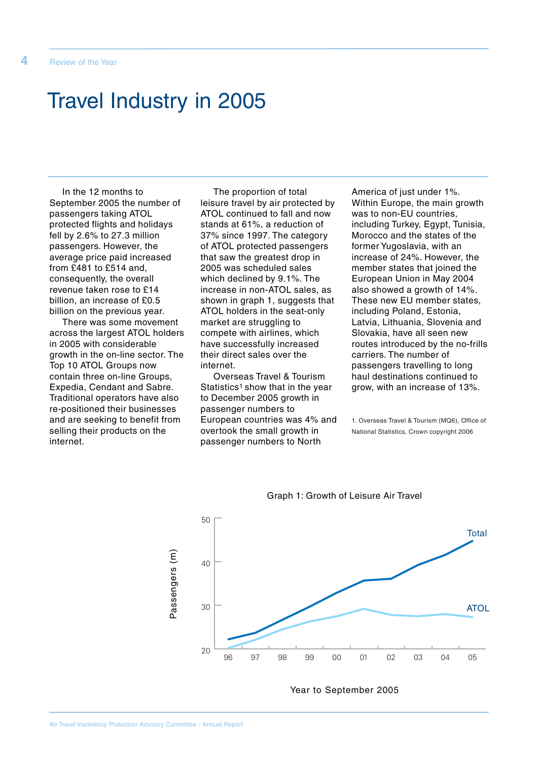## Travel Industry in 2005

In the 12 months to September 2005 the number of passengers taking ATOL protected flights and holidays fell by 2.6% to 27.3 million passengers. However, the average price paid increased from £481 to £514 and, consequently, the overall revenue taken rose to £14 billion, an increase of £0.5 billion on the previous year.

There was some movement across the largest ATOL holders in 2005 with considerable growth in the on-line sector. The Top 10 ATOL Groups now contain three on-line Groups, Expedia, Cendant and Sabre. Traditional operators have also re-positioned their businesses and are seeking to benefit from selling their products on the internet.

The proportion of total leisure travel by air protected by ATOL continued to fall and now stands at 61%, a reduction of 37% since 1997. The category of ATOL protected passengers that saw the greatest drop in 2005 was scheduled sales which declined by 9.1%. The increase in non-ATOL sales, as shown in graph 1, suggests that ATOL holders in the seat-only market are struggling to compete with airlines, which have successfully increased their direct sales over the internet.

Overseas Travel & Tourism Statistics<sup>1</sup> show that in the year to December 2005 growth in passenger numbers to European countries was 4% and overtook the small growth in passenger numbers to North

America of just under 1%. Within Europe, the main growth was to non-EU countries, including Turkey, Egypt, Tunisia, Morocco and the states of the former Yugoslavia, with an increase of 24%. However, the member states that joined the European Union in May 2004 also showed a growth of 14%. These new EU member states, including Poland, Estonia, Latvia, Lithuania, Slovenia and Slovakia, have all seen new routes introduced by the no-frills carriers. The number of passengers travelling to long haul destinations continued to grow, with an increase of 13%.

1. Overseas Travel & Tourism (MQ6), Office of National Statistics, Crown copyright 2006



Graph 1: Growth of Leisure Air Travel

Year to September 2005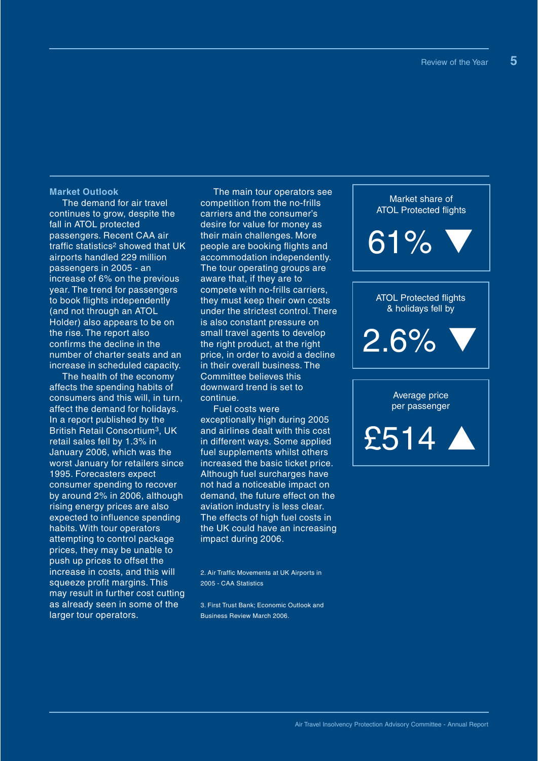#### **Market Outlook**

The demand for air travel continues to grow, despite the fall in ATOL protected passengers. Recent CAA air traffic statistics2 showed that UK airports handled 229 million passengers in 2005 - an increase of 6% on the previous year. The trend for passengers to book flights independently (and not through an ATOL Holder) also appears to be on the rise. The report also confirms the decline in the number of charter seats and an increase in scheduled capacity.

The health of the economy affects the spending habits of consumers and this will, in turn, affect the demand for holidays. In a report published by the British Retail Consortium3, UK retail sales fell by 1.3% in January 2006, which was the worst January for retailers since 1995. Forecasters expect consumer spending to recover by around 2% in 2006, although rising energy prices are also expected to influence spending habits. With tour operators attempting to control package prices, they may be unable to push up prices to offset the increase in costs, and this will squeeze profit margins. This may result in further cost cutting as already seen in some of the larger tour operators.

The main tour operators see competition from the no-frills carriers and the consumer's desire for value for money as their main challenges. More people are booking flights and accommodation independently. The tour operating groups are aware that, if they are to compete with no-frills carriers, they must keep their own costs under the strictest control. There is also constant pressure on small travel agents to develop the right product, at the right price, in order to avoid a decline in their overall business. The Committee believes this downward trend is set to continue.

Fuel costs were exceptionally high during 2005 and airlines dealt with this cost in different ways. Some applied fuel supplements whilst others increased the basic ticket price. Although fuel surcharges have not had a noticeable impact on demand, the future effect on the aviation industry is less clear. The effects of high fuel costs in the UK could have an increasing impact during 2006.

2. Air Traffic Movements at UK Airports in 2005 - CAA Statistics

3. First Trust Bank; Economic Outlook and Business Review March 2006.

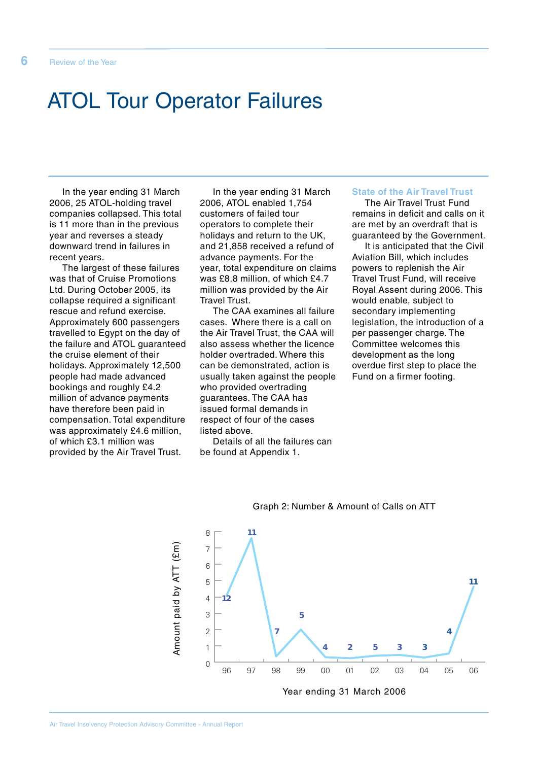### ATOL Tour Operator Failures

In the year ending 31 March 2006, 25 ATOL-holding travel companies collapsed. This total is 11 more than in the previous year and reverses a steady downward trend in failures in recent years.

The largest of these failures was that of Cruise Promotions Ltd. During October 2005, its collapse required a significant rescue and refund exercise. Approximately 600 passengers travelled to Egypt on the day of the failure and ATOL guaranteed the cruise element of their holidays. Approximately 12,500 people had made advanced bookings and roughly £4.2 million of advance payments have therefore been paid in compensation. Total expenditure was approximately £4.6 million, of which £3.1 million was provided by the Air Travel Trust.

In the year ending 31 March 2006, ATOL enabled 1,754 customers of failed tour operators to complete their holidays and return to the UK, and 21,858 received a refund of advance payments. For the year, total expenditure on claims was £8.8 million, of which £4.7 million was provided by the Air Travel Trust.

The CAA examines all failure cases. Where there is a call on the Air Travel Trust, the CAA will also assess whether the licence holder overtraded. Where this can be demonstrated, action is usually taken against the people who provided overtrading guarantees. The CAA has issued formal demands in respect of four of the cases listed above.

Details of all the failures can be found at Appendix 1.

### **State of the Air Travel Trust**

The Air Travel Trust Fund remains in deficit and calls on it are met by an overdraft that is guaranteed by the Government.

It is anticipated that the Civil Aviation Bill, which includes powers to replenish the Air Travel Trust Fund, will receive Royal Assent during 2006. This would enable, subject to secondary implementing legislation, the introduction of a per passenger charge. The Committee welcomes this development as the long overdue first step to place the Fund on a firmer footing.



#### Graph 2: Number & Amount of Calls on ATT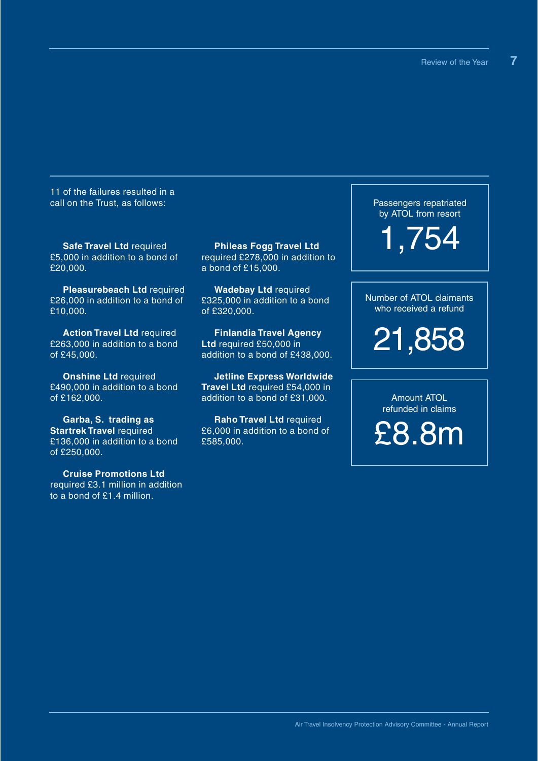11 of the failures resulted in a call on the Trust, as follows:

**Safe Travel Ltd** required £5,000 in addition to a bond of £20,000.

**Pleasurebeach Ltd** required £26,000 in addition to a bond of £10,000.

**Action Travel Ltd** required £263,000 in addition to a bond of £45,000.

**Onshine Ltd** required £490,000 in addition to a bond of £162,000.

**Garba, S. trading as Startrek Travel** required £136,000 in addition to a bond of £250,000.

**Cruise Promotions Ltd** required £3.1 million in addition to a bond of £1.4 million.

**Phileas Fogg Travel Ltd** required £278,000 in addition to a bond of £15,000.

**Wadebay Ltd** required £325,000 in addition to a bond of £320,000.

**Finlandia Travel Agency Ltd** required £50,000 in addition to a bond of £438,000.

**Jetline Express Worldwide Travel Ltd** required £54,000 in addition to a bond of £31,000.

**Raho Travel Ltd** required £6,000 in addition to a bond of £585,000.

Passengers repatriated by ATOL from resort

1,754

Number of ATOL claimants who received a refund

21,858

Amount ATOL refunded in claims

£8.8m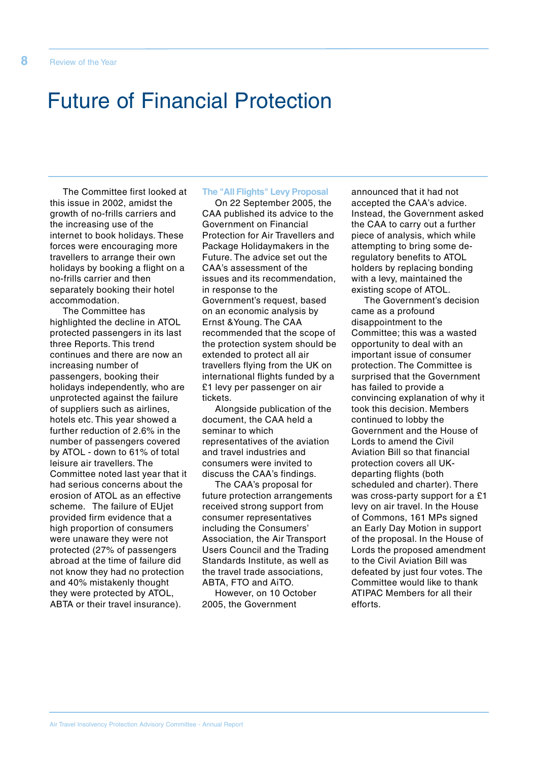## Future of Financial Protection

The Committee first looked at this issue in 2002, amidst the growth of no-frills carriers and the increasing use of the internet to book holidays. These forces were encouraging more travellers to arrange their own holidays by booking a flight on a no-frills carrier and then separately booking their hotel accommodation.

The Committee has highlighted the decline in ATOL protected passengers in its last three Reports. This trend continues and there are now an increasing number of passengers, booking their holidays independently, who are unprotected against the failure of suppliers such as airlines, hotels etc. This year showed a further reduction of 2.6% in the number of passengers covered by ATOL - down to 61% of total leisure air travellers. The Committee noted last year that it had serious concerns about the erosion of ATOL as an effective scheme. The failure of EUjet provided firm evidence that a high proportion of consumers were unaware they were not protected (27% of passengers abroad at the time of failure did not know they had no protection and 40% mistakenly thought they were protected by ATOL, ABTA or their travel insurance).

#### **The "All Flights" Levy Proposal**

On 22 September 2005, the CAA published its advice to the Government on Financial Protection for Air Travellers and Package Holidaymakers in the Future. The advice set out the CAA's assessment of the issues and its recommendation, in response to the Government's request, based on an economic analysis by Ernst &Young. The CAA recommended that the scope of the protection system should be extended to protect all air travellers flying from the UK on international flights funded by a £1 levy per passenger on air tickets.

Alongside publication of the document, the CAA held a seminar to which representatives of the aviation and travel industries and consumers were invited to discuss the CAA's findings.

The CAA's proposal for future protection arrangements received strong support from consumer representatives including the Consumers' Association, the Air Transport Users Council and the Trading Standards Institute, as well as the travel trade associations, ABTA, FTO and AiTO.

However, on 10 October 2005, the Government

announced that it had not accepted the CAA's advice. Instead, the Government asked the CAA to carry out a further piece of analysis, which while attempting to bring some deregulatory benefits to ATOL holders by replacing bonding with a levy, maintained the existing scope of ATOL.

The Government's decision came as a profound disappointment to the Committee; this was a wasted opportunity to deal with an important issue of consumer protection. The Committee is surprised that the Government has failed to provide a convincing explanation of why it took this decision. Members continued to lobby the Government and the House of Lords to amend the Civil Aviation Bill so that financial protection covers all UKdeparting flights (both scheduled and charter). There was cross-party support for a £1 levy on air travel. In the House of Commons, 161 MPs signed an Early Day Motion in support of the proposal. In the House of Lords the proposed amendment to the Civil Aviation Bill was defeated by just four votes. The Committee would like to thank ATIPAC Members for all their efforts.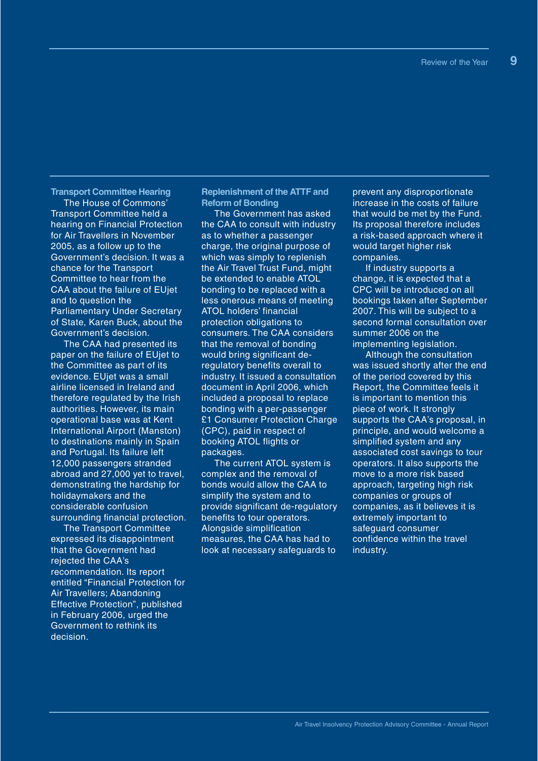**Transport Committee Hearing**

The House of Commons' Transport Committee held a hearing on Financial Protection for Air Travellers in November 2005, as a follow up to the Government's decision. It was a chance for the Transport Committee to hear from the CAA about the failure of EUjet and to question the Parliamentary Under Secretary of State, Karen Buck, about the Government's decision.

The CAA had presented its paper on the failure of EUjet to the Committee as part of its evidence. EUjet was a small airline licensed in Ireland and therefore regulated by the Irish authorities. However, its main operational base was at Kent International Airport (Manston) to destinations mainly in Spain and Portugal. Its failure left 12,000 passengers stranded abroad and 27,000 yet to travel, demonstrating the hardship for holidaymakers and the considerable confusion surrounding financial protection.

The Transport Committee expressed its disappointment that the Government had rejected the CAA's recommendation. Its report entitled "Financial Protection for Air Travellers; Abandoning Effective Protection", published in February 2006, urged the Government to rethink its decision.

**Replenishment of the ATTF and Reform of Bonding**

The Government has asked the CAA to consult with industry as to whether a passenger charge, the original purpose of which was simply to replenish the Air Travel Trust Fund, might be extended to enable ATOL bonding to be replaced with a less onerous means of meeting ATOL holders' financial protection obligations to consumers. The CAA considers that the removal of bonding would bring significant deregulatory benefits overall to industry. It issued a consultation document in April 2006, which included a proposal to replace bonding with a per-passenger £1 Consumer Protection Charge (CPC), paid in respect of booking ATOL flights or packages.

The current ATOL system is complex and the removal of bonds would allow the CAA to simplify the system and to provide significant de-regulatory benefits to tour operators. Alongside simplification measures, the CAA has had to look at necessary safeguards to

prevent any disproportionate increase in the costs of failure that would be met by the Fund. Its proposal therefore includes a risk-based approach where it would target higher risk companies.

If industry supports a change, it is expected that a CPC will be introduced on all bookings taken after September 2007. This will be subject to a second formal consultation over summer 2006 on the implementing legislation.

Although the consultation was issued shortly after the end of the period covered by this Report, the Committee feels it is important to mention this piece of work. It strongly supports the CAA's proposal, in principle, and would welcome a simplified system and any associated cost savings to tour operators. It also supports the move to a more risk based approach, targeting high risk companies or groups of companies, as it believes it is extremely important to safeguard consumer confidence within the travel industry.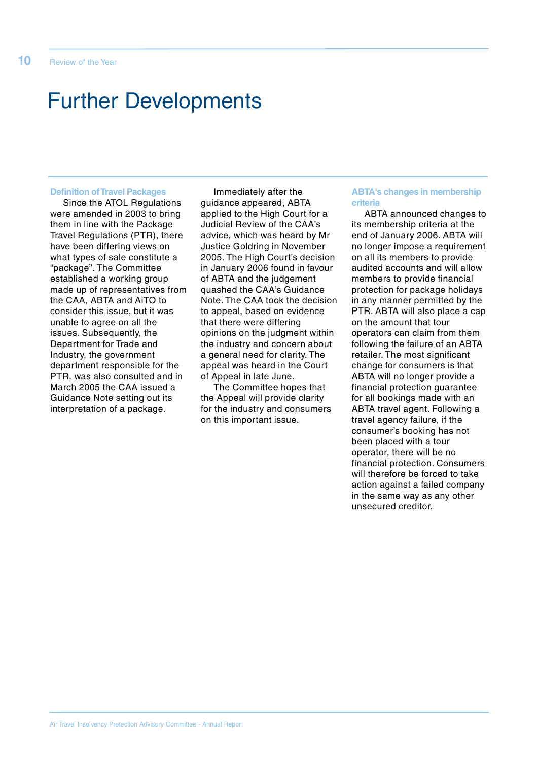## Further Developments

#### **Definition of Travel Packages**

Since the ATOL Regulations were amended in 2003 to bring them in line with the Package Travel Regulations (PTR), there have been differing views on what types of sale constitute a "package". The Committee established a working group made up of representatives from the CAA, ABTA and AiTO to consider this issue, but it was unable to agree on all the issues. Subsequently, the Department for Trade and Industry, the government department responsible for the PTR, was also consulted and in March 2005 the CAA issued a Guidance Note setting out its interpretation of a package.

Immediately after the guidance appeared, ABTA applied to the High Court for a Judicial Review of the CAA's advice, which was heard by Mr Justice Goldring in November 2005. The High Court's decision in January 2006 found in favour of ABTA and the judgement quashed the CAA's Guidance Note. The CAA took the decision to appeal, based on evidence that there were differing opinions on the judgment within the industry and concern about a general need for clarity. The appeal was heard in the Court of Appeal in late June.

The Committee hopes that the Appeal will provide clarity for the industry and consumers on this important issue.

#### **ABTA's changes in membership criteria**

ABTA announced changes to its membership criteria at the end of January 2006. ABTA will no longer impose a requirement on all its members to provide audited accounts and will allow members to provide financial protection for package holidays in any manner permitted by the PTR. ABTA will also place a cap on the amount that tour operators can claim from them following the failure of an ABTA retailer. The most significant change for consumers is that ABTA will no longer provide a financial protection guarantee for all bookings made with an ABTA travel agent. Following a travel agency failure, if the consumer's booking has not been placed with a tour operator, there will be no financial protection. Consumers will therefore be forced to take action against a failed company in the same way as any other unsecured creditor.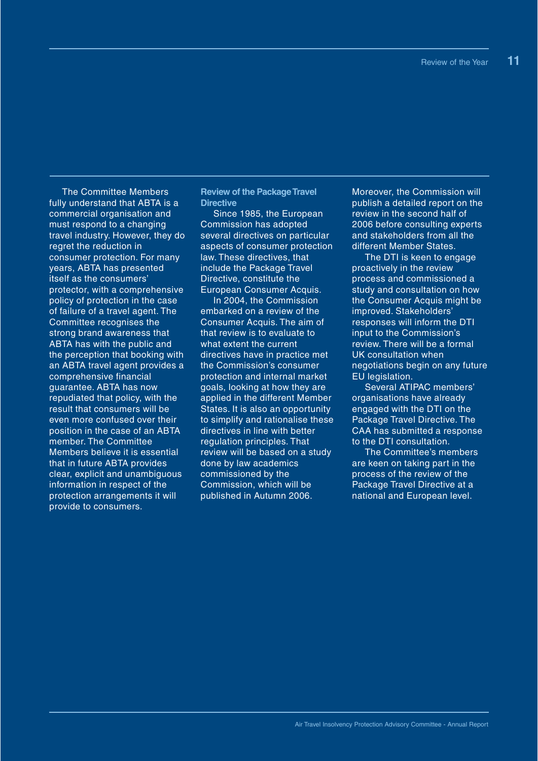The Committee Members fully understand that ABTA is a commercial organisation and must respond to a changing travel industry. However, they do regret the reduction in consumer protection. For many years, ABTA has presented itself as the consumers' protector, with a comprehensive policy of protection in the case of failure of a travel agent. The Committee recognises the strong brand awareness that ABTA has with the public and the perception that booking with an ABTA travel agent provides a comprehensive financial guarantee. ABTA has now repudiated that policy, with the result that consumers will be even more confused over their position in the case of an ABTA member. The Committee Members believe it is essential that in future ABTA provides clear, explicit and unambiguous information in respect of the protection arrangements it will provide to consumers.

**Review of the Package Travel Directive**

Since 1985, the European Commission has adopted several directives on particular aspects of consumer protection law. These directives, that include the Package Travel Directive, constitute the European Consumer Acquis.

In 2004, the Commission embarked on a review of the Consumer Acquis. The aim of that review is to evaluate to what extent the current directives have in practice met the Commission's consumer protection and internal market goals, looking at how they are applied in the different Member States. It is also an opportunity to simplify and rationalise these directives in line with better regulation principles. That review will be based on a study done by law academics commissioned by the Commission, which will be published in Autumn 2006.

Moreover, the Commission will publish a detailed report on the review in the second half of 2006 before consulting experts and stakeholders from all the different Member States.

The DTI is keen to engage proactively in the review process and commissioned a study and consultation on how the Consumer Acquis might be improved. Stakeholders' responses will inform the DTI input to the Commission's review. There will be a formal UK consultation when negotiations begin on any future EU legislation.

Several ATIPAC members' organisations have already engaged with the DTI on the Package Travel Directive. The CAA has submitted a response to the DTI consultation.

The Committee's members are keen on taking part in the process of the review of the Package Travel Directive at a national and European level.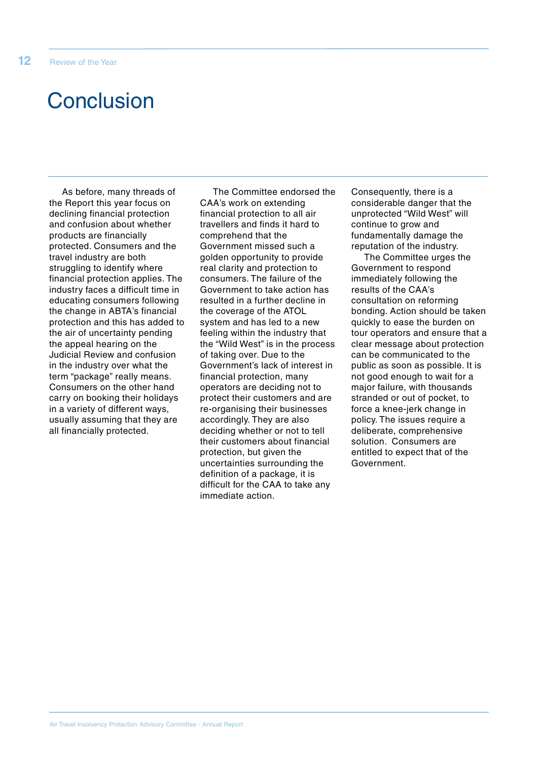## **Conclusion**

As before, many threads of the Report this year focus on declining financial protection and confusion about whether products are financially protected. Consumers and the travel industry are both struggling to identify where financial protection applies. The industry faces a difficult time in educating consumers following the change in ABTA's financial protection and this has added to the air of uncertainty pending the appeal hearing on the Judicial Review and confusion in the industry over what the term "package" really means. Consumers on the other hand carry on booking their holidays in a variety of different ways, usually assuming that they are all financially protected.

The Committee endorsed the CAA's work on extending financial protection to all air travellers and finds it hard to comprehend that the Government missed such a golden opportunity to provide real clarity and protection to consumers. The failure of the Government to take action has resulted in a further decline in the coverage of the ATOL system and has led to a new feeling within the industry that the "Wild West" is in the process of taking over. Due to the Government's lack of interest in financial protection, many operators are deciding not to protect their customers and are re-organising their businesses accordingly. They are also deciding whether or not to tell their customers about financial protection, but given the uncertainties surrounding the definition of a package, it is difficult for the CAA to take any immediate action.

Consequently, there is a considerable danger that the unprotected "Wild West" will continue to grow and fundamentally damage the reputation of the industry.

The Committee urges the Government to respond immediately following the results of the CAA's consultation on reforming bonding. Action should be taken quickly to ease the burden on tour operators and ensure that a clear message about protection can be communicated to the public as soon as possible. It is not good enough to wait for a major failure, with thousands stranded or out of pocket, to force a knee-jerk change in policy. The issues require a deliberate, comprehensive solution. Consumers are entitled to expect that of the Government.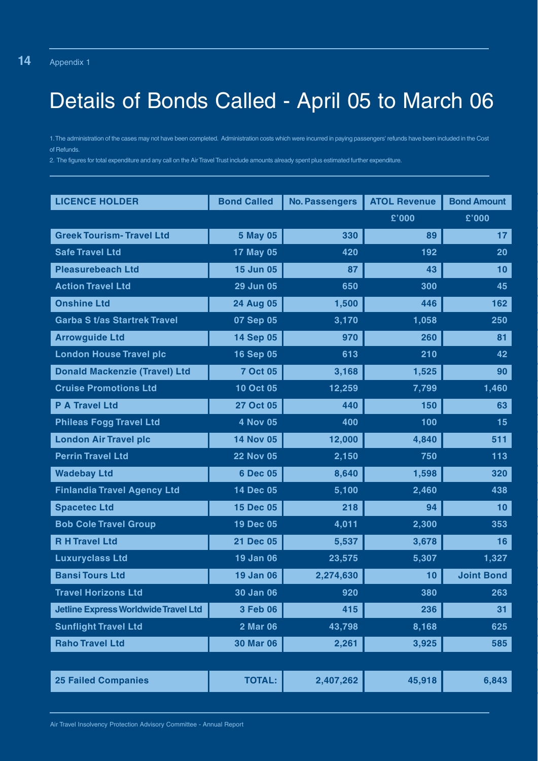# Details of Bonds Called - April 05 to March 06

1.The administration of the cases may not have been completed. Administration costs which were incurred in paying passengers' refunds have been included in the Cost of Refunds.

2. The figures for total expenditure and any call on the Air Travel Trust include amounts already spent plus estimated further expenditure.

| <b>LICENCE HOLDER</b>                       | <b>Bond Called</b> | <b>No. Passengers</b> | <b>ATOL Revenue</b> | <b>Bond Amount</b> |
|---------------------------------------------|--------------------|-----------------------|---------------------|--------------------|
|                                             |                    |                       | £'000               | £'000              |
| <b>Greek Tourism- Travel Ltd</b>            | <b>5 May 05</b>    | 330                   | 89                  | 17                 |
| <b>Safe Travel Ltd</b>                      | 17 May 05          | 420                   | 192                 | 20                 |
| <b>Pleasurebeach Ltd</b>                    | <b>15 Jun 05</b>   | 87                    | 43                  | 10                 |
| <b>Action Travel Ltd</b>                    | 29 Jun 05          | 650                   | 300                 | 45                 |
| <b>Onshine Ltd</b>                          | <b>24 Aug 05</b>   | 1,500                 | 446                 | 162                |
| <b>Garba St/as Startrek Travel</b>          | 07 Sep 05          | 3,170                 | 1,058               | 250                |
| <b>Arrowguide Ltd</b>                       | 14 Sep 05          | 970                   | 260                 | 81                 |
| <b>London House Travel plc</b>              | <b>16 Sep 05</b>   | 613                   | 210                 | 42                 |
| <b>Donald Mackenzie (Travel) Ltd</b>        | <b>7 Oct 05</b>    | 3,168                 | 1,525               | 90                 |
| <b>Cruise Promotions Ltd</b>                | 10 Oct 05          | 12,259                | 7,799               | 1,460              |
| <b>P A Travel Ltd</b>                       | <b>27 Oct 05</b>   | 440                   | 150                 | 63                 |
| <b>Phileas Fogg Travel Ltd</b>              | <b>4 Nov 05</b>    | 400                   | 100                 | 15                 |
| <b>London Air Travel plc</b>                | <b>14 Nov 05</b>   | 12,000                | 4,840               | 511                |
| <b>Perrin Travel Ltd</b>                    | <b>22 Nov 05</b>   | 2,150                 | 750                 | 113                |
| <b>Wadebay Ltd</b>                          | 6 Dec 05           | 8,640                 | 1,598               | 320                |
| <b>Finlandia Travel Agency Ltd</b>          | 14 Dec 05          | 5,100                 | 2,460               | 438                |
| <b>Spacetec Ltd</b>                         | <b>15 Dec 05</b>   | 218                   | 94                  | 10                 |
| <b>Bob Cole Travel Group</b>                | 19 Dec 05          | 4,011                 | 2,300               | 353                |
| <b>R H Travel Ltd</b>                       | <b>21 Dec 05</b>   | 5,537                 | 3,678               | 16                 |
| <b>Luxuryclass Ltd</b>                      | 19 Jan 06          | 23,575                | 5,307               | 1,327              |
| <b>Bansi Tours Ltd</b>                      | <b>19 Jan 06</b>   | 2,274,630             | 10                  | <b>Joint Bond</b>  |
| <b>Travel Horizons Ltd</b>                  | <b>30 Jan 06</b>   | 920                   | 380                 | 263                |
| <b>Jetline Express Worldwide Travel Ltd</b> | 3 Feb 06           | 415                   | 236                 | 31                 |
| <b>Sunflight Travel Ltd</b>                 | 2 Mar 06           | 43,798                | 8,168               | 625                |
| <b>Raho Travel Ltd</b>                      | <b>30 Mar 06</b>   | 2,261                 | 3,925               | 585                |
|                                             |                    |                       |                     |                    |
| <b>25 Failed Companies</b>                  | <b>TOTAL:</b>      | 2,407,262             | 45,918              | 6,843              |

Air Travel Insolvency Protection Advisory Committee - Annual Report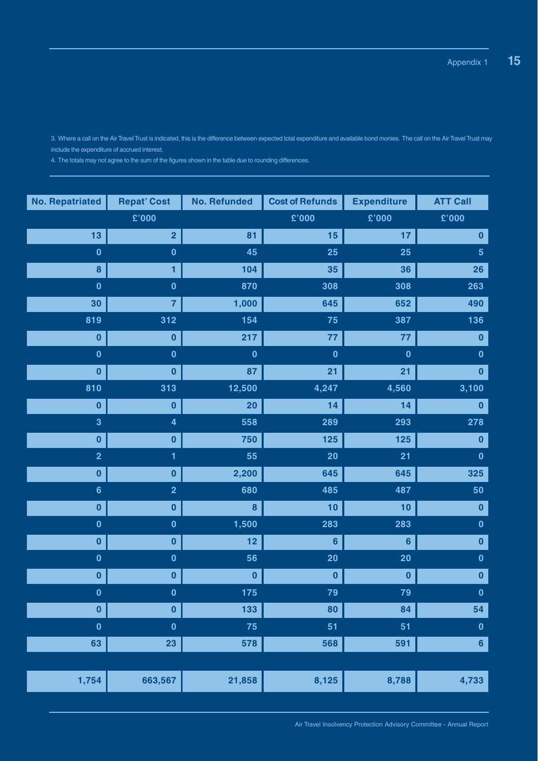3. Where a call on the Air Travel Trust is indicated, this is the difference between expected total expenditure and available bond monies. The call on the Air Travel Trust may include the expenditure of accrued interest.

4. The totals may not agree to the sum of the figures shown in the table due to rounding differences.

| <b>No. Repatriated</b>  | <b>Repat' Cost</b>      | <b>No. Refunded</b> | <b>Cost of Refunds</b> | <b>Expenditure</b> | <b>ATT Call</b> |
|-------------------------|-------------------------|---------------------|------------------------|--------------------|-----------------|
|                         | £'000                   |                     | £'000                  | £'000              | £'000           |
| 13                      | $\overline{2}$          | 81                  | 15                     | 17                 | $\bf{0}$        |
| $\mathbf 0$             | $\mathbf 0$             | 45                  | 25                     | 25                 | $5\phantom{a}$  |
| 8                       | 1                       | 104                 | 35                     | 36                 | 26              |
| $\mathbf 0$             | $\mathbf 0$             | 870                 | 308                    | 308                | 263             |
| 30                      | 7                       | 1,000               | 645                    | 652                | 490             |
| 819                     | 312                     | 154                 | 75                     | 387                | 136             |
| $\bf{0}$                | $\bf{0}$                | 217                 | 77                     | 77                 | 0               |
| $\mathbf 0$             | $\mathbf 0$             | $\bf{0}$            | $\mathbf 0$            | $\mathbf 0$        | $\mathbf 0$     |
| $\bf{0}$                | $\bf{0}$                | 87                  | 21                     | 21                 | $\mathbf{0}$    |
| 810                     | 313                     | 12,500              | 4,247                  | 4,560              | 3,100           |
| $\bf{0}$                | $\bf{0}$                | 20                  | 14                     | 14                 | $\bf{0}$        |
| $\overline{\mathbf{3}}$ | $\overline{\mathbf{4}}$ | 558                 | 289                    | 293                | 278             |
| $\bf{0}$                | $\bf{0}$                | 750                 | 125                    | 125                | $\bf{0}$        |
| $\overline{2}$          | 1                       | 55                  | 20                     | 21                 | $\mathbf 0$     |
| $\bf{0}$                | $\bf{0}$                | 2,200               | 645                    | 645                | 325             |
| $6\phantom{1}$          | $\overline{\mathbf{2}}$ | 680                 | 485                    | 487                | 50              |
| $\bf{0}$                | 0                       | 8                   | 10                     | 10                 | $\bf{0}$        |
| $\mathbf 0$             | $\mathbf 0$             | 1,500               | 283                    | 283                | $\pmb{0}$       |
| $\bf{0}$                | $\bf{0}$                | 12                  | 6                      | $6\phantom{1}$     | $\bf{0}$        |
| $\mathbf 0$             | $\mathbf 0$             | 56                  | 20                     | 20                 | $\mathbf 0$     |
| $\bf{0}$                | 0                       | $\bf{0}$            | 0                      | $\bf{0}$           | $\bf{0}$        |
| $\mathbf{0}$            | $\mathbf{0}$            | 175                 | 79                     | 79                 | $\mathbf{0}$    |
| $\bf{0}$                | $\mathbf 0$             | 133                 | 80                     | 84                 | 54              |
| $\mathbf 0$             | $\bf{0}$                | 75                  | 51                     | 51                 | $\pmb{0}$       |
| 63                      | 23                      | 578                 | 568                    | 591                | $6\phantom{a}$  |
|                         |                         |                     |                        |                    |                 |
| 1,754                   | 663,567                 | 21,858              | 8,125                  | 8,788              | 4,733           |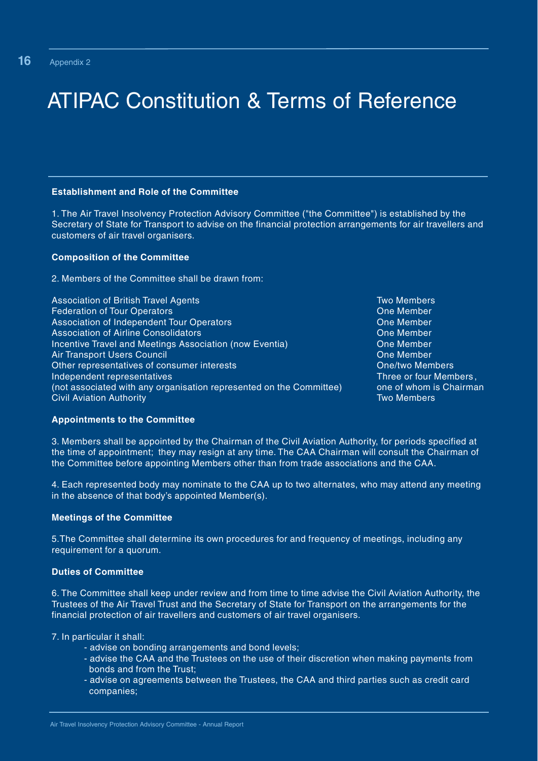# ATIPAC Constitution & Terms of Reference

#### **Establishment and Role of the Committee**

1. The Air Travel Insolvency Protection Advisory Committee ("the Committee") is established by the Secretary of State for Transport to advise on the financial protection arrangements for air travellers and customers of air travel organisers.

#### **Composition of the Committee**

2. Members of the Committee shall be drawn from:

| <b>Association of British Travel Agents</b>                         | <b>Two Members</b>      |
|---------------------------------------------------------------------|-------------------------|
| <b>Federation of Tour Operators</b>                                 | One Member              |
| Association of Independent Tour Operators                           | One Member              |
| <b>Association of Airline Consolidators</b>                         | One Member              |
| Incentive Travel and Meetings Association (now Eventia)             | One Member              |
| <b>Air Transport Users Council</b>                                  | One Member              |
| Other representatives of consumer interests                         | <b>One/two Members</b>  |
| Independent representatives                                         | Three or four Members,  |
| (not associated with any organisation represented on the Committee) | one of whom is Chairman |
| <b>Civil Aviation Authority</b>                                     | <b>Two Members</b>      |
|                                                                     |                         |

#### **Appointments to the Committee**

3. Members shall be appointed by the Chairman of the Civil Aviation Authority, for periods specified at the time of appointment; they may resign at any time. The CAA Chairman will consult the Chairman of the Committee before appointing Members other than from trade associations and the CAA.

4. Each represented body may nominate to the CAA up to two alternates, who may attend any meeting in the absence of that body's appointed Member(s).

#### **Meetings of the Committee**

5.The Committee shall determine its own procedures for and frequency of meetings, including any requirement for a quorum.

#### **Duties of Committee**

6. The Committee shall keep under review and from time to time advise the Civil Aviation Authority, the Trustees of the Air Travel Trust and the Secretary of State for Transport on the arrangements for the financial protection of air travellers and customers of air travel organisers.

7. In particular it shall:

- advise on bonding arrangements and bond levels;
- advise the CAA and the Trustees on the use of their discretion when making payments from bonds and from the Trust;
- advise on agreements between the Trustees, the CAA and third parties such as credit card companies;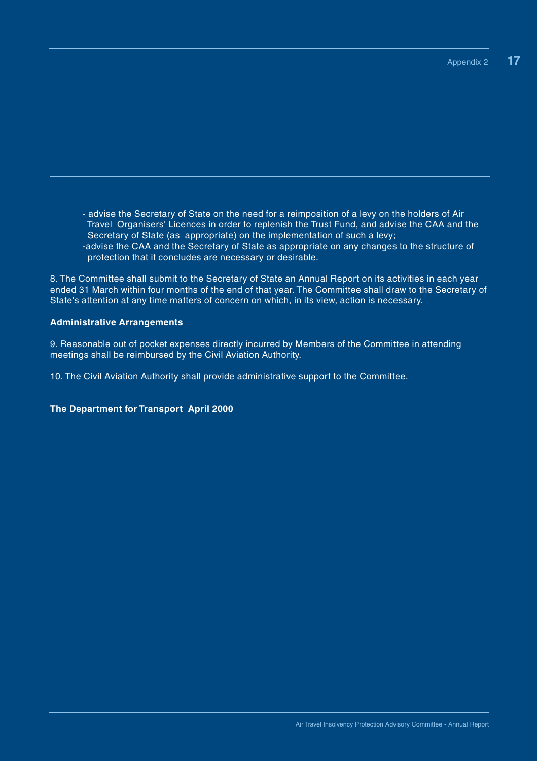- advise the Secretary of State on the need for a reimposition of a levy on the holders of Air Travel Organisers' Licences in order to replenish the Trust Fund, and advise the CAA and the Secretary of State (as appropriate) on the implementation of such a levy; -advise the CAA and the Secretary of State as appropriate on any changes to the structure of protection that it concludes are necessary or desirable.

8. The Committee shall submit to the Secretary of State an Annual Report on its activities in each year ended 31 March within four months of the end of that year. The Committee shall draw to the Secretary of State's attention at any time matters of concern on which, in its view, action is necessary.

### **Administrative Arrangements**

9. Reasonable out of pocket expenses directly incurred by Members of the Committee in attending meetings shall be reimbursed by the Civil Aviation Authority.

10. The Civil Aviation Authority shall provide administrative support to the Committee.

**The Department for Transport April 2000**